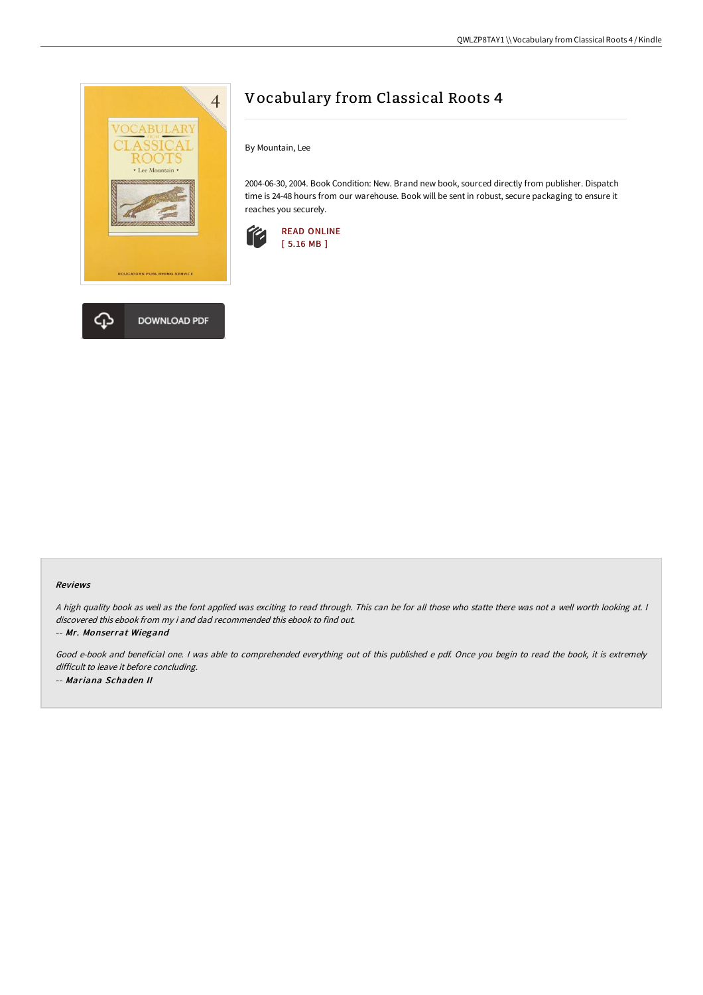

**DOWNLOAD PDF** 

## Vocabulary from Classical Roots 4

By Mountain, Lee

2004-06-30, 2004. Book Condition: New. Brand new book, sourced directly from publisher. Dispatch time is 24-48 hours from our warehouse. Book will be sent in robust, secure packaging to ensure it reaches you securely.



## Reviews

A high quality book as well as the font applied was exciting to read through. This can be for all those who statte there was not a well worth looking at. I discovered this ebook from my i and dad recommended this ebook to find out.

-- Mr. Monserrat Wiegand

Good e-book and beneficial one. <sup>I</sup> was able to comprehended everything out of this published <sup>e</sup> pdf. Once you begin to read the book, it is extremely difficult to leave it before concluding. -- Mariana Schaden II